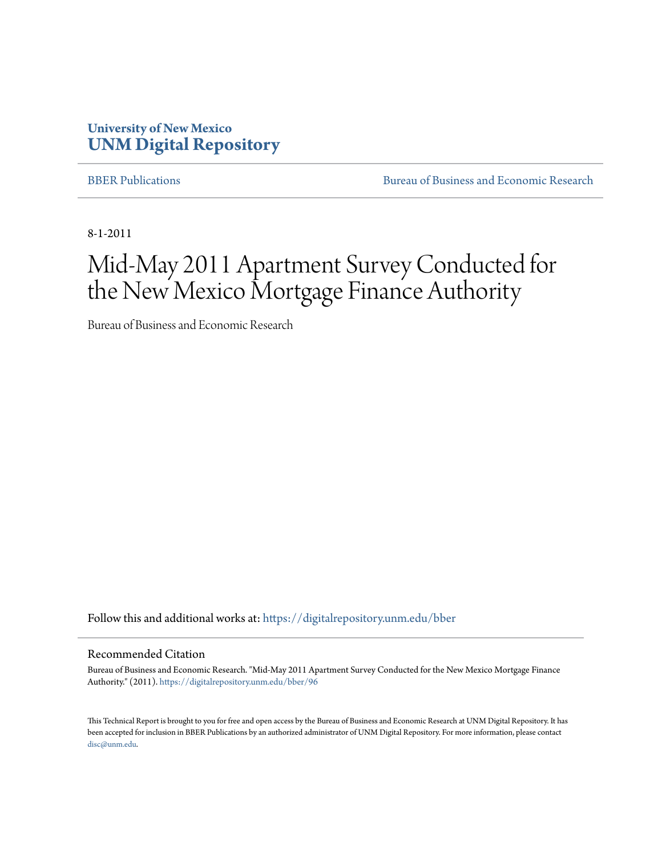### **University of New Mexico [UNM Digital Repository](https://digitalrepository.unm.edu?utm_source=digitalrepository.unm.edu%2Fbber%2F96&utm_medium=PDF&utm_campaign=PDFCoverPages)**

[BBER Publications](https://digitalrepository.unm.edu/bber?utm_source=digitalrepository.unm.edu%2Fbber%2F96&utm_medium=PDF&utm_campaign=PDFCoverPages) **BUREAU SERVICES** [Bureau of Business and Economic Research](https://digitalrepository.unm.edu/business_economic_research?utm_source=digitalrepository.unm.edu%2Fbber%2F96&utm_medium=PDF&utm_campaign=PDFCoverPages)

8-1-2011

# Mid-May 2011 Apartment Survey Conducted for the New Mexico Mortgage Finance Authority

Bureau of Business and Economic Research

Follow this and additional works at: [https://digitalrepository.unm.edu/bber](https://digitalrepository.unm.edu/bber?utm_source=digitalrepository.unm.edu%2Fbber%2F96&utm_medium=PDF&utm_campaign=PDFCoverPages)

#### Recommended Citation

Bureau of Business and Economic Research. "Mid-May 2011 Apartment Survey Conducted for the New Mexico Mortgage Finance Authority." (2011). [https://digitalrepository.unm.edu/bber/96](https://digitalrepository.unm.edu/bber/96?utm_source=digitalrepository.unm.edu%2Fbber%2F96&utm_medium=PDF&utm_campaign=PDFCoverPages)

This Technical Report is brought to you for free and open access by the Bureau of Business and Economic Research at UNM Digital Repository. It has been accepted for inclusion in BBER Publications by an authorized administrator of UNM Digital Repository. For more information, please contact [disc@unm.edu](mailto:disc@unm.edu).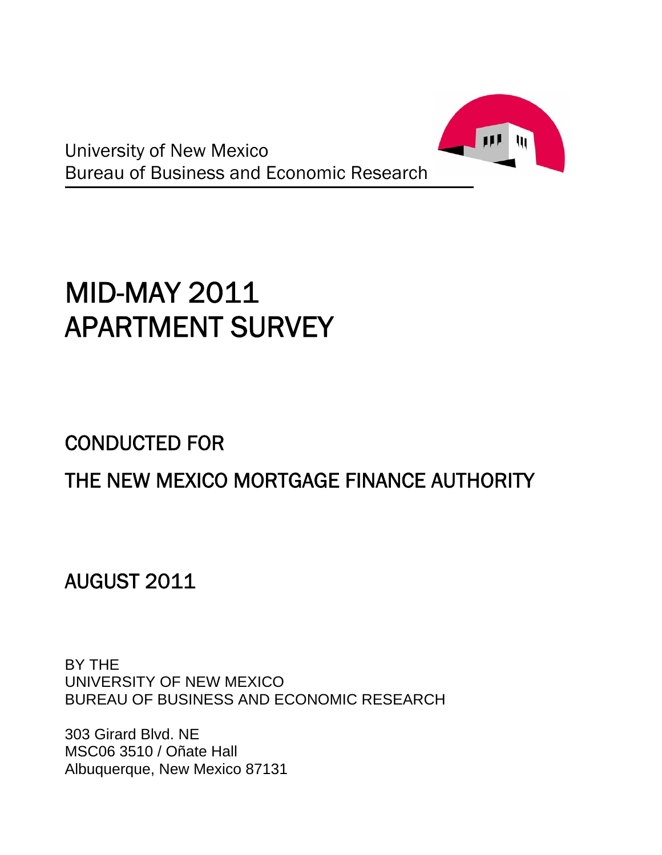

University of New Mexico Bureau of Business and Economic Research

# MID-MAY 2011 APARTMENT SURVEY

# CONDUCTED FOR

# THE NEW MEXICO MORTGAGE FINANCE AUTHORITY

AUGUST 2011

BY THE UNIVERSITY OF NEW MEXICO BUREAU OF BUSINESS AND ECONOMIC RESEARCH

303 Girard Blvd. NE MSC06 3510 / Oñate Hall Albuquerque, New Mexico 87131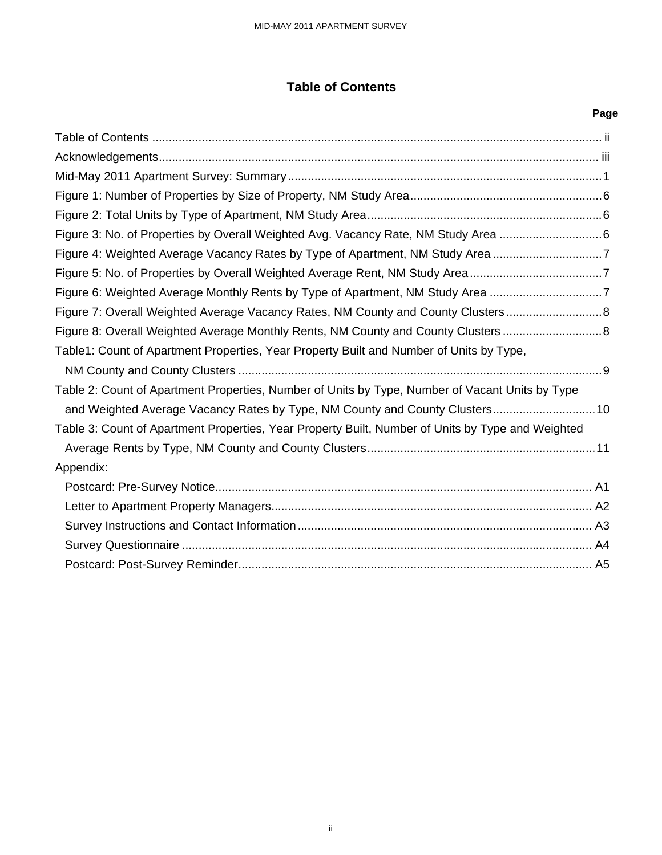### **Table of Contents**

| <b>Table of Contents</b>                                                                          |      |
|---------------------------------------------------------------------------------------------------|------|
|                                                                                                   | Page |
|                                                                                                   |      |
|                                                                                                   |      |
|                                                                                                   |      |
|                                                                                                   |      |
|                                                                                                   |      |
| Figure 3: No. of Properties by Overall Weighted Avg. Vacancy Rate, NM Study Area 6                |      |
| Figure 4: Weighted Average Vacancy Rates by Type of Apartment, NM Study Area 7                    |      |
| Figure 5: No. of Properties by Overall Weighted Average Rent, NM Study Area7                      |      |
| Figure 6: Weighted Average Monthly Rents by Type of Apartment, NM Study Area 7                    |      |
| Figure 7: Overall Weighted Average Vacancy Rates, NM County and County Clusters                   |      |
| Figure 8: Overall Weighted Average Monthly Rents, NM County and County Clusters                   |      |
| Table1: Count of Apartment Properties, Year Property Built and Number of Units by Type,           |      |
| Table 2: Count of Apartment Properties, Number of Units by Type, Number of Vacant Units by Type   |      |
| and Weighted Average Vacancy Rates by Type, NM County and County Clusters 10                      |      |
| Table 3: Count of Apartment Properties, Year Property Built, Number of Units by Type and Weighted |      |
|                                                                                                   |      |
| Appendix:                                                                                         |      |
|                                                                                                   |      |
|                                                                                                   |      |
|                                                                                                   |      |
|                                                                                                   |      |
|                                                                                                   |      |
|                                                                                                   |      |
|                                                                                                   |      |
|                                                                                                   |      |
|                                                                                                   |      |
|                                                                                                   |      |
| ï                                                                                                 |      |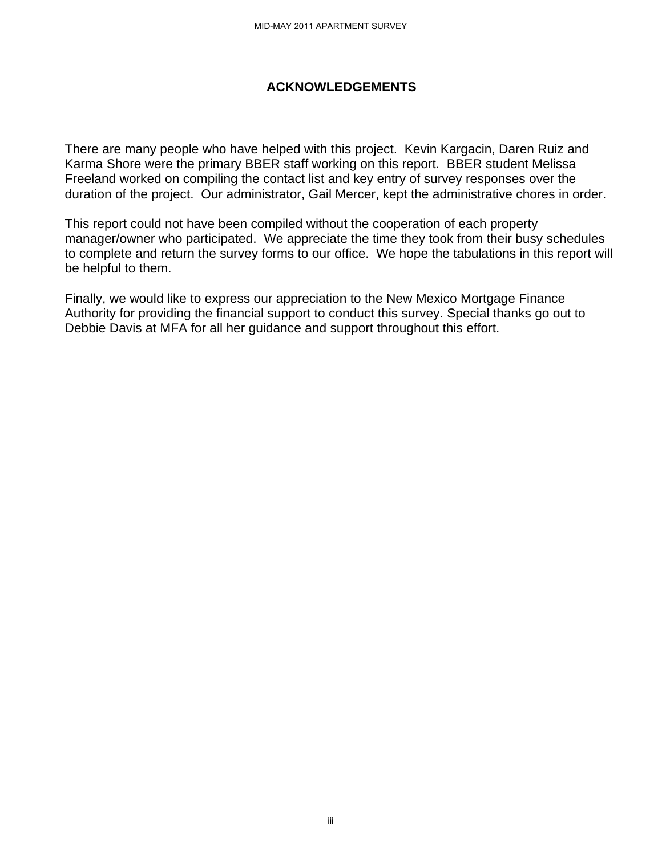#### **ACKNOWLEDGEMENTS**

There are many people who have helped with this project. Kevin Kargacin, Daren Ruiz and Karma Shore were the primary BBER staff working on this report. BBER student Melissa Freeland worked on compiling the contact list and key entry of survey responses over the duration of the project. Our administrator, Gail Mercer, kept the administrative chores in order. MID-MAY 2011 APARTMENT SURVEY<br> **ACKNOWLEDGEMENT**<br>
BER staff working on this r<br>
e contact list and key entry<br>
nistrator, Gail Mercer, kept<br>
compiled without the coope<br>
Ve appreciate the time there is<br>
our appreciation to th

This report could not have been compiled without the cooperation of each property manager/owner who participated. We appreciate the time they took from their busy schedules to complete and return the survey forms to our office. We hope the tabulations in this report will be helpful to them.

Finally, we would like to express our appreciation to the New Mexico Mortgage Finance Authority for providing the financial support to conduct this survey. Special thanks go out to Debbie Davis at MFA for all her guidance and support throughout this effort.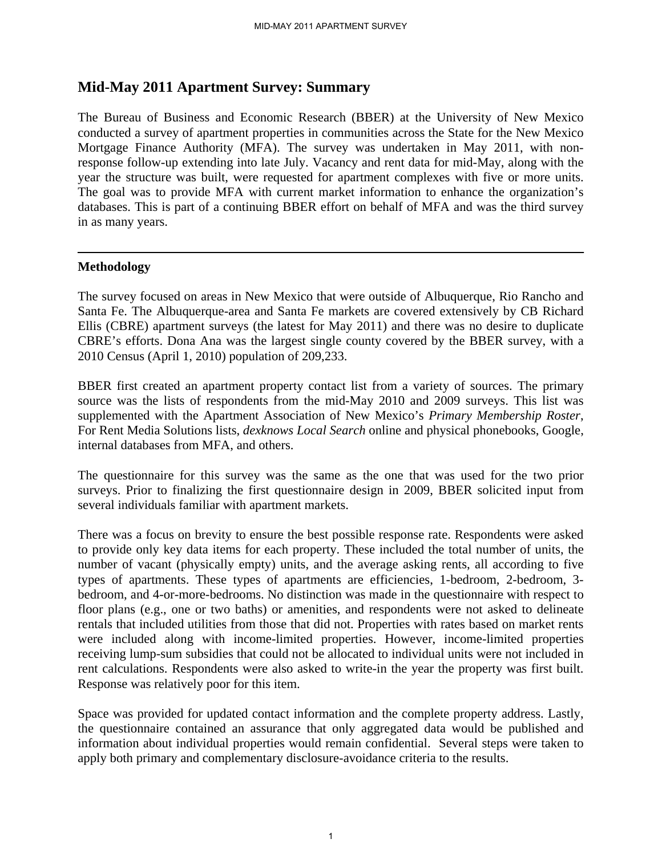### **Mid-May 2011 Apartment Survey: Summary**

The Bureau of Business and Economic Research (BBER) at the University of New Mexico conducted a survey of apartment properties in communities across the State for the New Mexico Mortgage Finance Authority (MFA). The survey was undertaken in May 2011, with nonresponse follow-up extending into late July. Vacancy and rent data for mid-May, along with the year the structure was built, were requested for apartment complexes with five or more units. The goal was to provide MFA with current market information to enhance the organization's databases. This is part of a continuing BBER effort on behalf of MFA and was the third survey in as many years.

#### **Methodology**

The survey focused on areas in New Mexico that were outside of Albuquerque, Rio Rancho and Santa Fe. The Albuquerque-area and Santa Fe markets are covered extensively by CB Richard Ellis (CBRE) apartment surveys (the latest for May 2011) and there was no desire to duplicate CBRE's efforts. Dona Ana was the largest single county covered by the BBER survey, with a 2010 Census (April 1, 2010) population of 209,233.

BBER first created an apartment property contact list from a variety of sources. The primary source was the lists of respondents from the mid-May 2010 and 2009 surveys. This list was supplemented with the Apartment Association of New Mexico's *Primary Membership Roster*, For Rent Media Solutions lists, *dexknows Local Search* online and physical phonebooks, Google, internal databases from MFA, and others.

The questionnaire for this survey was the same as the one that was used for the two prior surveys. Prior to finalizing the first questionnaire design in 2009, BBER solicited input from several individuals familiar with apartment markets.

There was a focus on brevity to ensure the best possible response rate. Respondents were asked to provide only key data items for each property. These included the total number of units, the number of vacant (physically empty) units, and the average asking rents, all according to five types of apartments. These types of apartments are efficiencies, 1-bedroom, 2-bedroom, 3 bedroom, and 4-or-more-bedrooms. No distinction was made in the questionnaire with respect to floor plans (e.g., one or two baths) or amenities, and respondents were not asked to delineate rentals that included utilities from those that did not. Properties with rates based on market rents were included along with income-limited properties. However, income-limited properties receiving lump-sum subsidies that could not be allocated to individual units were not included in rent calculations. Respondents were also asked to write-in the year the property was first built. Response was relatively poor for this item.

Space was provided for updated contact information and the complete property address. Lastly, the questionnaire contained an assurance that only aggregated data would be published and information about individual properties would remain confidential. Several steps were taken to apply both primary and complementary disclosure-avoidance criteria to the results.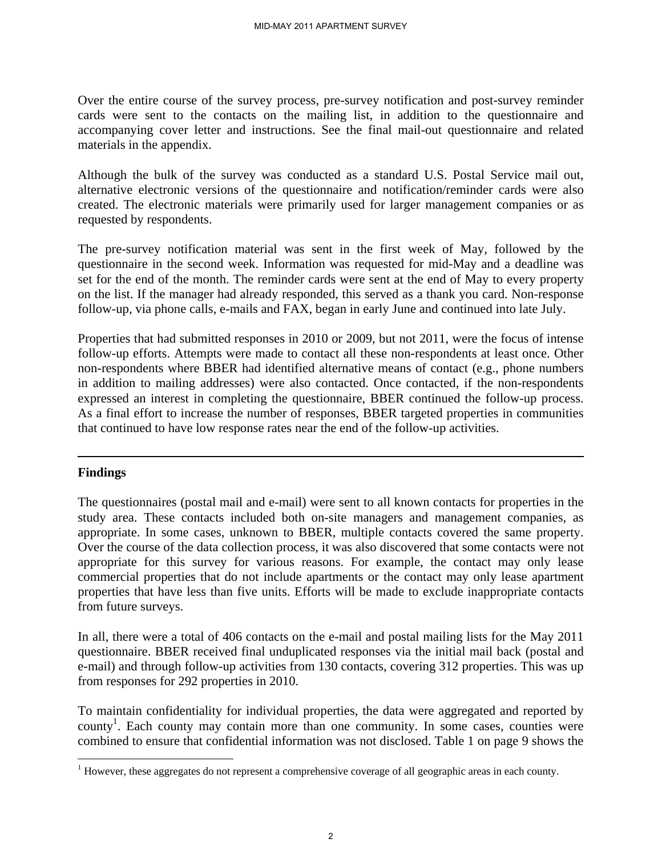Over the entire course of the survey process, pre-survey notification and post-survey reminder cards were sent to the contacts on the mailing list, in addition to the questionnaire and accompanying cover letter and instructions. See the final mail-out questionnaire and related materials in the appendix.

Although the bulk of the survey was conducted as a standard U.S. Postal Service mail out, alternative electronic versions of the questionnaire and notification/reminder cards were also created. The electronic materials were primarily used for larger management companies or as requested by respondents.

The pre-survey notification material was sent in the first week of May, followed by the questionnaire in the second week. Information was requested for mid-May and a deadline was set for the end of the month. The reminder cards were sent at the end of May to every property on the list. If the manager had already responded, this served as a thank you card. Non-response follow-up, via phone calls, e-mails and FAX, began in early June and continued into late July.

Properties that had submitted responses in 2010 or 2009, but not 2011, were the focus of intense follow-up efforts. Attempts were made to contact all these non-respondents at least once. Other non-respondents where BBER had identified alternative means of contact (e.g., phone numbers in addition to mailing addresses) were also contacted. Once contacted, if the non-respondents expressed an interest in completing the questionnaire, BBER continued the follow-up process. As a final effort to increase the number of responses, BBER targeted properties in communities that continued to have low response rates near the end of the follow-up activities.

#### **Findings**

<u>.</u>

The questionnaires (postal mail and e-mail) were sent to all known contacts for properties in the study area. These contacts included both on-site managers and management companies, as appropriate. In some cases, unknown to BBER, multiple contacts covered the same property. Over the course of the data collection process, it was also discovered that some contacts were not appropriate for this survey for various reasons. For example, the contact may only lease commercial properties that do not include apartments or the contact may only lease apartment properties that have less than five units. Efforts will be made to exclude inappropriate contacts from future surveys.

In all, there were a total of 406 contacts on the e-mail and postal mailing lists for the May 2011 questionnaire. BBER received final unduplicated responses via the initial mail back (postal and e-mail) and through follow-up activities from 130 contacts, covering 312 properties. This was up from responses for 292 properties in 2010.

To maintain confidentiality for individual properties, the data were aggregated and reported by county<sup>1</sup>. Each county may contain more than one community. In some cases, counties were combined to ensure that confidential information was not disclosed. Table 1 on page 9 shows the

 $1$  However, these aggregates do not represent a comprehensive coverage of all geographic areas in each county.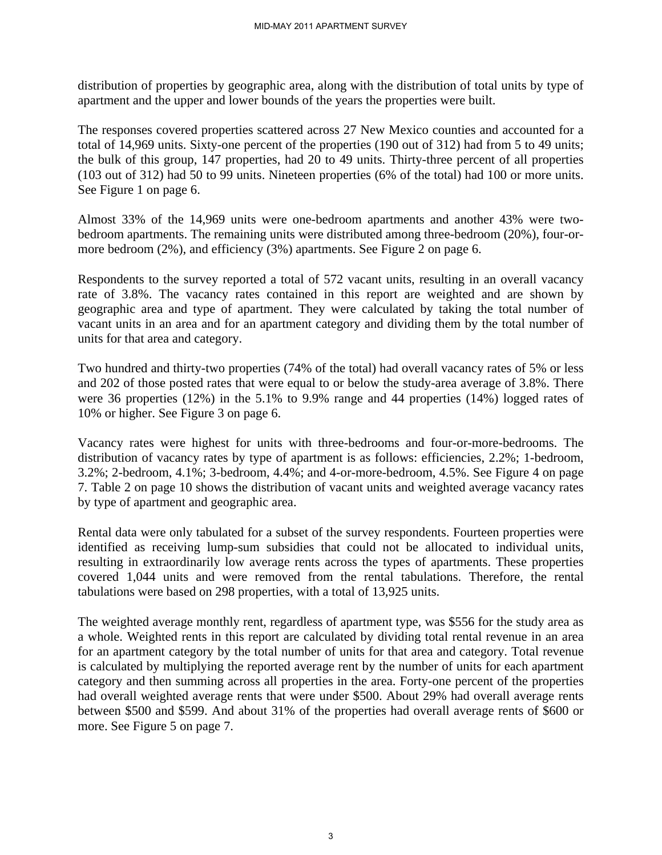distribution of properties by geographic area, along with the distribution of total units by type of apartment and the upper and lower bounds of the years the properties were built.

The responses covered properties scattered across 27 New Mexico counties and accounted for a total of 14,969 units. Sixty-one percent of the properties (190 out of 312) had from 5 to 49 units; the bulk of this group, 147 properties, had 20 to 49 units. Thirty-three percent of all properties (103 out of 312) had 50 to 99 units. Nineteen properties (6% of the total) had 100 or more units. See Figure 1 on page 6.

Almost 33% of the 14,969 units were one-bedroom apartments and another 43% were twobedroom apartments. The remaining units were distributed among three-bedroom (20%), four-ormore bedroom (2%), and efficiency (3%) apartments. See Figure 2 on page 6.

Respondents to the survey reported a total of 572 vacant units, resulting in an overall vacancy rate of 3.8%. The vacancy rates contained in this report are weighted and are shown by geographic area and type of apartment. They were calculated by taking the total number of vacant units in an area and for an apartment category and dividing them by the total number of units for that area and category.

Two hundred and thirty-two properties (74% of the total) had overall vacancy rates of 5% or less and 202 of those posted rates that were equal to or below the study-area average of 3.8%. There were 36 properties (12%) in the 5.1% to 9.9% range and 44 properties (14%) logged rates of 10% or higher. See Figure 3 on page 6.

Vacancy rates were highest for units with three-bedrooms and four-or-more-bedrooms. The distribution of vacancy rates by type of apartment is as follows: efficiencies, 2.2%; 1-bedroom, 3.2%; 2-bedroom, 4.1%; 3-bedroom, 4.4%; and 4-or-more-bedroom, 4.5%. See Figure 4 on page 7. Table 2 on page 10 shows the distribution of vacant units and weighted average vacancy rates by type of apartment and geographic area.

Rental data were only tabulated for a subset of the survey respondents. Fourteen properties were identified as receiving lump-sum subsidies that could not be allocated to individual units, resulting in extraordinarily low average rents across the types of apartments. These properties covered 1,044 units and were removed from the rental tabulations. Therefore, the rental tabulations were based on 298 properties, with a total of 13,925 units.

The weighted average monthly rent, regardless of apartment type, was \$556 for the study area as a whole. Weighted rents in this report are calculated by dividing total rental revenue in an area for an apartment category by the total number of units for that area and category. Total revenue is calculated by multiplying the reported average rent by the number of units for each apartment category and then summing across all properties in the area. Forty-one percent of the properties had overall weighted average rents that were under \$500. About 29% had overall average rents between \$500 and \$599. And about 31% of the properties had overall average rents of \$600 or more. See Figure 5 on page 7.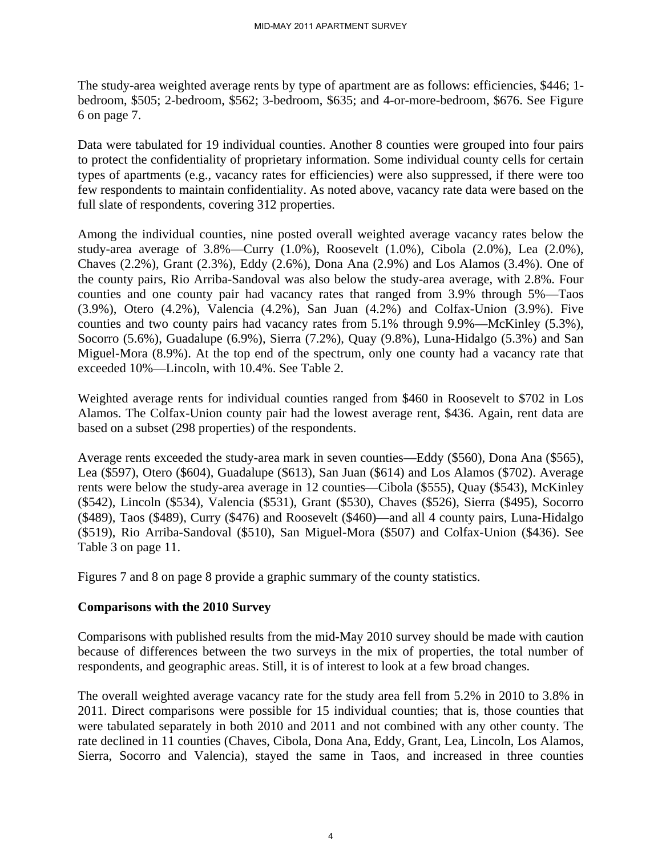The study-area weighted average rents by type of apartment are as follows: efficiencies, \$446; 1 bedroom, \$505; 2-bedroom, \$562; 3-bedroom, \$635; and 4-or-more-bedroom, \$676. See Figure 6 on page 7.

Data were tabulated for 19 individual counties. Another 8 counties were grouped into four pairs to protect the confidentiality of proprietary information. Some individual county cells for certain types of apartments (e.g., vacancy rates for efficiencies) were also suppressed, if there were too few respondents to maintain confidentiality. As noted above, vacancy rate data were based on the full slate of respondents, covering 312 properties.

Among the individual counties, nine posted overall weighted average vacancy rates below the study-area average of 3.8%—Curry (1.0%), Roosevelt (1.0%), Cibola (2.0%), Lea (2.0%), Chaves (2.2%), Grant (2.3%), Eddy (2.6%), Dona Ana (2.9%) and Los Alamos (3.4%). One of the county pairs, Rio Arriba-Sandoval was also below the study-area average, with 2.8%. Four counties and one county pair had vacancy rates that ranged from 3.9% through 5%—Taos (3.9%), Otero (4.2%), Valencia (4.2%), San Juan (4.2%) and Colfax-Union (3.9%). Five counties and two county pairs had vacancy rates from 5.1% through 9.9%—McKinley (5.3%), Socorro (5.6%), Guadalupe (6.9%), Sierra (7.2%), Quay (9.8%), Luna-Hidalgo (5.3%) and San Miguel-Mora (8.9%). At the top end of the spectrum, only one county had a vacancy rate that exceeded 10%—Lincoln, with 10.4%. See Table 2.

Weighted average rents for individual counties ranged from \$460 in Roosevelt to \$702 in Los Alamos. The Colfax-Union county pair had the lowest average rent, \$436. Again, rent data are based on a subset (298 properties) of the respondents.

Average rents exceeded the study-area mark in seven counties—Eddy (\$560), Dona Ana (\$565), Lea (\$597), Otero (\$604), Guadalupe (\$613), San Juan (\$614) and Los Alamos (\$702). Average rents were below the study-area average in 12 counties—Cibola (\$555), Quay (\$543), McKinley (\$542), Lincoln (\$534), Valencia (\$531), Grant (\$530), Chaves (\$526), Sierra (\$495), Socorro (\$489), Taos (\$489), Curry (\$476) and Roosevelt (\$460)—and all 4 county pairs, Luna-Hidalgo (\$519), Rio Arriba-Sandoval (\$510), San Miguel-Mora (\$507) and Colfax-Union (\$436). See Table 3 on page 11.

Figures 7 and 8 on page 8 provide a graphic summary of the county statistics.

#### **Comparisons with the 2010 Survey**

Comparisons with published results from the mid-May 2010 survey should be made with caution because of differences between the two surveys in the mix of properties, the total number of respondents, and geographic areas. Still, it is of interest to look at a few broad changes.

The overall weighted average vacancy rate for the study area fell from 5.2% in 2010 to 3.8% in 2011. Direct comparisons were possible for 15 individual counties; that is, those counties that were tabulated separately in both 2010 and 2011 and not combined with any other county. The rate declined in 11 counties (Chaves, Cibola, Dona Ana, Eddy, Grant, Lea, Lincoln, Los Alamos, Sierra, Socorro and Valencia), stayed the same in Taos, and increased in three counties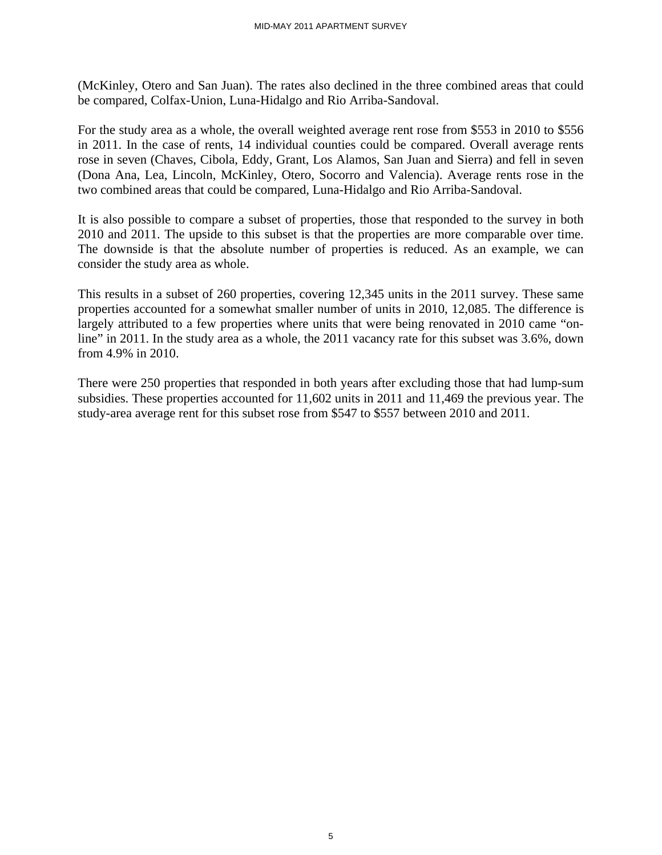(McKinley, Otero and San Juan). The rates also declined in the three combined areas that could be compared, Colfax-Union, Luna-Hidalgo and Rio Arriba-Sandoval.

For the study area as a whole, the overall weighted average rent rose from \$553 in 2010 to \$556 in 2011. In the case of rents, 14 individual counties could be compared. Overall average rents rose in seven (Chaves, Cibola, Eddy, Grant, Los Alamos, San Juan and Sierra) and fell in seven (Dona Ana, Lea, Lincoln, McKinley, Otero, Socorro and Valencia). Average rents rose in the two combined areas that could be compared, Luna-Hidalgo and Rio Arriba-Sandoval.

It is also possible to compare a subset of properties, those that responded to the survey in both 2010 and 2011. The upside to this subset is that the properties are more comparable over time. The downside is that the absolute number of properties is reduced. As an example, we can consider the study area as whole.

This results in a subset of 260 properties, covering 12,345 units in the 2011 survey. These same properties accounted for a somewhat smaller number of units in 2010, 12,085. The difference is largely attributed to a few properties where units that were being renovated in 2010 came "online" in 2011. In the study area as a whole, the 2011 vacancy rate for this subset was 3.6%, down from 4.9% in 2010.

There were 250 properties that responded in both years after excluding those that had lump-sum subsidies. These properties accounted for 11,602 units in 2011 and 11,469 the previous year. The study-area average rent for this subset rose from \$547 to \$557 between 2010 and 2011.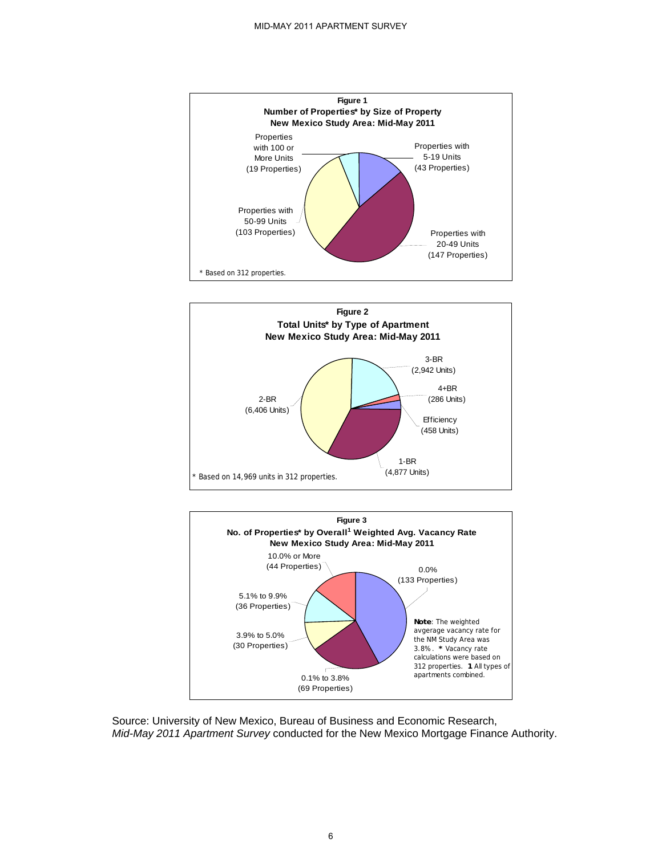





Source: University of New Mexico, Bureau of Business and Economic Research, *Mid-May 2011 Apartment Survey* conducted for the New Mexico Mortgage Finance Authority.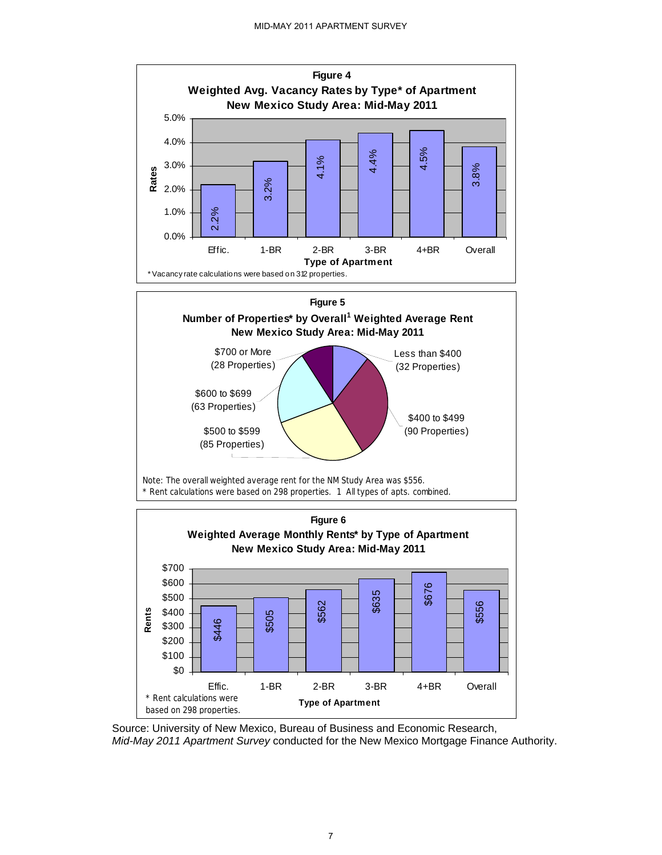

Source: University of New Mexico, Bureau of Business and Economic Research, *Mid-May 2011 Apartment Survey* conducted for the New Mexico Mortgage Finance Authority.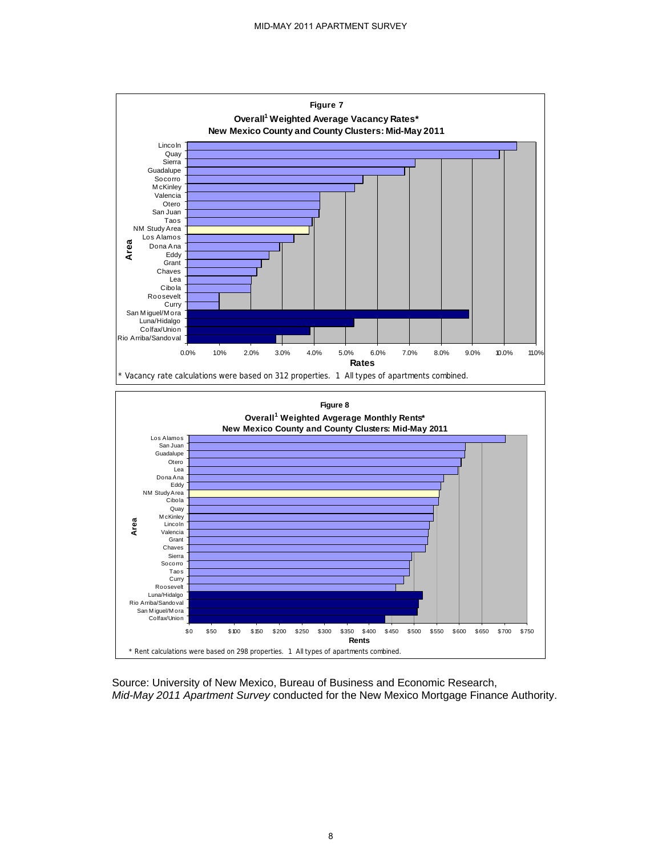

Source: University of New Mexico, Bureau of Business and Economic Research, *Mid-May 2011 Apartment Survey* conducted for the New Mexico Mortgage Finance Authority.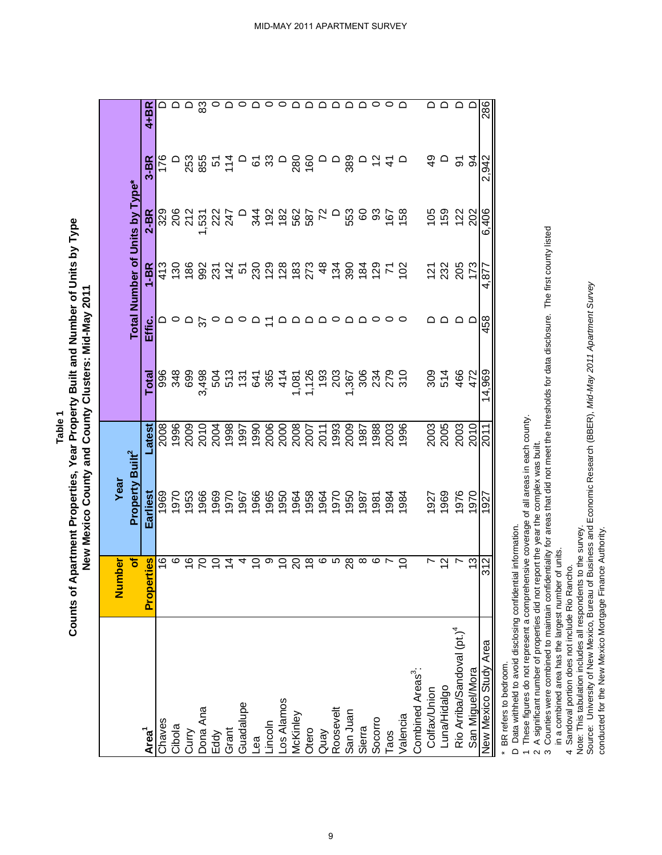**Table 1**

Counts of Apartment Properties, Year Property Built and Number of Units by Type **Counts of Apartment Properties, Year Property Built and Number of Units by Type** New Mexico County and County Clusters: Mid-May 2011 **New Mexico County and County Clusters: Mid-May 2011**

|                                                  | ber<br>৳<br><b>Num</b> | Property Built <sup>2</sup><br>Year |              |        |        |                                         | Total Number of Units by Type* |               |          |
|--------------------------------------------------|------------------------|-------------------------------------|--------------|--------|--------|-----------------------------------------|--------------------------------|---------------|----------|
| Area <sup>1</sup>                                | Properties             | Earliest                            | -atest       | Total  | Effic. | $1 - BR$                                | $2 - BR$                       | $3-BR$        | 4+BR     |
| Chaves                                           | $\frac{6}{5}$          | 969                                 | 2008         | 996    |        | 413                                     |                                | 176           |          |
| Cibola                                           | ဖ                      | 970                                 | 1996         | 348    |        |                                         | 32<br>2022                     |               |          |
|                                                  | $\frac{6}{1}$          | 1953                                | 2009         | 699    |        |                                         |                                |               |          |
| Curry<br>Dona Ana<br>Eddy                        |                        | 1966                                | 2010         | 3,498  |        | 6 8 8 8 7 7 5 8 8 8 8 8 7 8 9 8 9 6 7 6 | <b>1532</b><br>2247            | 253<br>855    | <u>ස</u> |
|                                                  |                        | 1969                                | 2004         |        |        |                                         |                                |               | $\circ$  |
| Grant<br>Guadalupe                               | $\overline{4}$         | 1970                                |              |        |        |                                         |                                | $51$<br>$74$  |          |
|                                                  | 4                      | 1967                                |              |        |        |                                         |                                | $\Box$        | $\circ$  |
|                                                  | S                      | 1966                                |              |        |        |                                         |                                |               | $\Omega$ |
| Lea<br>Lincoln                                   | တ                      |                                     |              |        |        |                                         |                                | <u>ದ ಜ</u>    | $\circ$  |
|                                                  | ₽                      |                                     |              |        |        |                                         |                                | $\Box$        |          |
| Los Alamos<br>McKinley                           | ನಿ                     | 1965<br>1950<br>1964                |              |        |        |                                         | D 48888885                     |               |          |
|                                                  | $\frac{8}{1}$          | 1958                                |              |        |        |                                         |                                | 280<br>160    |          |
|                                                  | ဖ                      | 1964                                |              |        |        |                                         |                                | $\Box$        |          |
|                                                  | Ю                      | 1970                                |              |        | 0      |                                         | $\Box$                         | $\Box$        | ▭        |
| Otero<br>Quay<br>Roosevelt<br>San Juan<br>Sierra | $\overline{28}$        | 1950                                |              |        |        |                                         | 553                            | 389           |          |
|                                                  | $\infty$               | 1987                                |              |        |        |                                         |                                |               |          |
| Socorro                                          | ဖ                      | 1981                                |              |        |        |                                         |                                | ≌             |          |
| Taos                                             |                        | 1984                                | 2003         |        |        |                                         | 8866                           | $\frac{4}{7}$ |          |
| Valencia                                         | $\overline{C}$         | 1984                                | 1996         | 310    | 0      |                                         |                                | $\Omega$      |          |
| Combined Areas <sup>3</sup> :                    |                        |                                     |              |        |        |                                         |                                |               |          |
|                                                  |                        | 927                                 |              | 309    |        |                                         |                                | $\frac{6}{7}$ | ◠        |
| Colfax/Union<br>Luna/Hidalgo                     | $\tilde{c}$            | 1969                                | 2003<br>2005 | 514    |        | 121<br>232<br>205                       | 159<br>159                     |               |          |
| Rio Arriba/Sandoval (pt.) <sup>4</sup>           |                        | 1976                                | 2003         | 466    |        |                                         | 122                            | 5             |          |
| San Miguel/Mora                                  | 13                     | 1970                                | 2010         | 472    |        | 173                                     | 202                            | ठ             |          |
| New Mexico Study Area                            | 312                    | 1927                                | 2011         | 14,969 | 458    | 4,877                                   | 6,406                          | 2,942         | 286      |
| BR refers to bedroom.                            |                        |                                     |              |        |        |                                         |                                |               |          |

9

BK refers to bedroom.

D Data withheld to avoid disclosing confidential information. D Data withheld to avoid disclosing confidential information.

1 These figures do not represent a comprehensive coverage of all areas in each county. 1 These figures do not represent a comprehensive coverage of all areas in each county. 2 A significant number of properties did not report the year the complex was built.

2 A significant number of properties did not report the year the complex was built.

3 Counties were combined to maintain confidentiality for areas that did not meet the thresholds for data disclosure. The first county listed 3 Counties were combined to maintain confidentiality for areas that did not meet the thresholds for data disclosure. The first county listed in a combined area has the largest number of units.

 in a combined area has the largest number of units. 4 Sandoval portion does not include Rio Rancho.

4 Sandoval portion does not include Rio Rancho.

Note: This tabulation includes all respondents to the survey.<br>Source: University of New Mexico, Bureau of Business and Economic Research (BBER), Mid-May 2011 Apartment Survey Source: University of New Mexico, Bureau of Business and Economic Research (BBER), *Mid-May 2011 Apartment Survey*  Note: This tabulation includes all respondents to the survey.

conducted for the New Mexico Mortgage Finance Authority. conducted for the New Mexico Mortgage Finance Authority.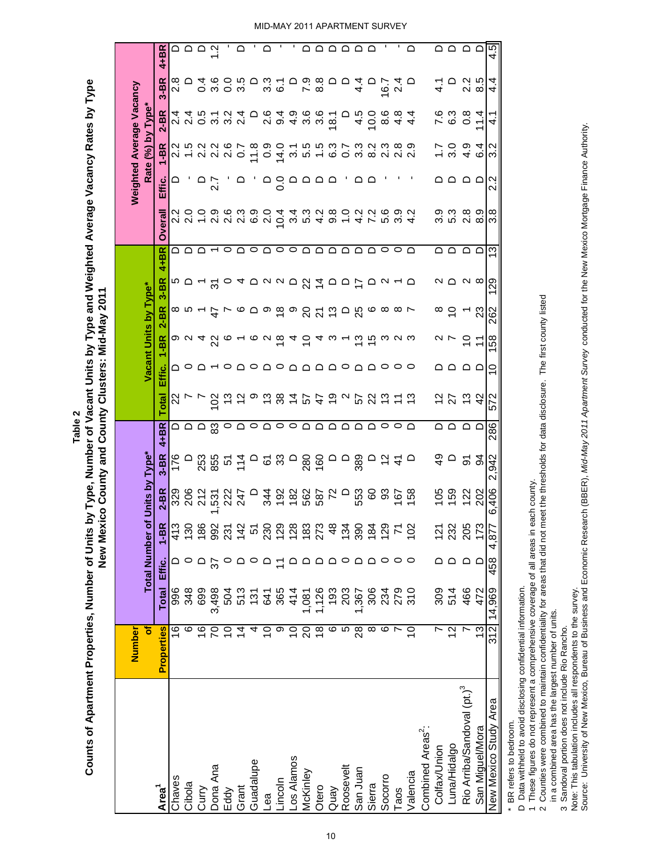Counts of Apartment Properties, Number of Units by Type, Number of Vacant Units by Type and Weighted Average Vacancy Rates by Type **Counts of Apartment Properties, Number of Units by Type, Number of Vacant Units by Type and Weighted Average Vacancy Rates by Type** New Mexico County and County Clusters: Mid-May 2011 **New Mexico County and County Clusters: Mid-May 2011 Table 2**

| $\mathbf{r}$<br>$\mathbf{L}_{\mathrm{c}}$<br>$\mathbf{I}_{\mathbf{r}}$<br>л.<br>л.<br>$\mathbf{L}$<br><b>ם ם ם P</b><br>$\Omega$<br>$\Omega$<br>مممممه<br>≏<br>$\bigcirc$ $\bigcirc$ $\bigcirc$ $\bigcirc$<br>4.5<br>4+BR<br>4<br>0<br>0<br>0<br>0<br>0<br>0<br>0<br>3.<br>6.1<br>$3-BR$<br>$\Omega$<br>$\begin{array}{c} 0.800 \ 0.800 \end{array}$<br>$\frac{4}{4}$<br>$\Omega$<br>$16.7$<br>$24$ D<br>2<br>2<br>8<br>8<br>4<br>$\circ$<br>$\Box$<br>$\frac{1}{4}$<br>Õ<br>4<br>Rate (%) by Type*<br>$2 - BR$<br>4451244 2010 2 4<br>2 4 9 9 9 9 9 0<br>0 9 9 9 9 9 0<br>$40000$<br>$40000$<br>5.9<br>7.9<br>$0.8$<br>11.4<br>$\Box$<br>$\frac{4}{4}$<br>4.<br>$1 - BR$<br><u>و ح</u><br>$\frac{2}{10}$<br>Ŋ<br>$40$<br>$40$<br>ო<br>agaaaa<br>ם ם<br>ם בי בי ב <i>ו</i><br>Ņ<br>Effic.<br>▭<br>$\frac{5}{2}$<br>$\Box$<br>$\mathbf{\Omega}$<br>တ္ပက္<br>တပက္<br>∞ တ<br>∞<br>ဝေ<br>ဝေ<br>$\mathbf{N}$<br>Overall<br>$\begin{array}{c}\n 7 \\  4\n \end{array}$<br>$\sim$ $\infty$<br>ო<br>QQQ←○Q○Q○○QQQQQQ○○Q<br>ם בים ב <i>ו</i><br>$4 + B R$<br>ო<br>$3 - BR$<br>∾ ∩ ∩ ∞<br>႙<br>Vacant Units by Type*<br>$2-BR$<br>$\frac{8}{10}$<br>$\mathbb{S}^2$<br>262<br>$1 - BR$<br>$\circ$ o $\sim$ 4 $\%$ o $\sim$ $\circ$ 6 $\circ$ 6 $\sim$ 6 $\sim$ 6 $\sim$ 6 $\sim$ 6 $\sim$<br>ິຕ N ຕ<br>158<br>$\sim$ $\sim$<br>e ±<br>Effic.<br>Q ○ Q ← ○ Q ○ Q ○ Q Q Q Q O Q O O O<br>S<br>םם םם<br><b>などおお</b><br>572<br><u>ジレレ</u><br><b>Total</b><br>286<br>$4 + BR$<br>ם ם ם ם<br>Total Number of Units by Type*<br>$3 - BR$<br>176<br>ვ<br>4<br>$\frac{5}{4}$<br><b>942</b><br>≏<br>5 g<br>ΝÏ<br>$2-BR$<br>38270<br>553<br><u>ទី</u> ន<br>159<br>406<br>167<br>158<br>105<br>202<br>329<br>206<br>212<br>$\overline{\phantom{0}}$<br><b>344</b><br>192<br>122<br>531<br>222<br>247<br>Ö<br>↽<br>186<br>$1 - BR$<br>$\frac{30}{2}$<br>992<br>20083234<br>205<br>173<br>413<br>231<br>142<br>134<br>390<br>$\frac{29}{7}$<br>102<br>$127$<br>$232$<br>4,877<br>184<br>5<br>458<br>ם ם ם<br>$\circ$<br>≏<br>ם ם<br>Effic.<br><b>Total</b><br>1,081<br>1,126<br>193<br>203<br>14,969<br>996<br>348<br>554844<br>554554<br>306<br>23<br>20<br>20<br>30<br>309<br>514<br>466<br>472<br>699<br>3,498<br>1,367<br>504<br>312<br>ဖ<br>$\pmb{\circ}$<br>28<br>Properties<br>$\frac{6}{1}$<br>$\frac{6}{1}$<br>$\overline{4}$<br>$\overline{C}$<br>$\frac{8}{1}$<br>5<br>∞<br>ဖ<br>$\tilde{C}$<br>5<br>4<br>တ<br>$\tilde{c}$<br>20<br>2<br>13<br>$\tilde{=}$<br>Ľ<br>Rio Arriba/Sandoval (pt.) <sup>3</sup><br>New Mexico Study Area<br>Combined Areas <sup>2</sup> :<br>San Miguel/Mora<br>Luna/Hidalgo<br>Colfax/Union<br>Los Alamos<br><b>Guadalupe</b><br>Roosevelt<br>Dona Ana<br>San Juan<br>McKinley<br>Valencia<br>Socorro<br>Chaves<br>Lincoln<br>Cibola<br>Sierra<br>Grant<br>Otero<br>Area <sup>1</sup><br>Quay<br>Curry<br>Eddy<br>Taos<br>$e^a$ | Number |  |  |  |  |  |  |  | <b>Weighted Average Vacancy</b> |  |
|----------------------------------------------------------------------------------------------------------------------------------------------------------------------------------------------------------------------------------------------------------------------------------------------------------------------------------------------------------------------------------------------------------------------------------------------------------------------------------------------------------------------------------------------------------------------------------------------------------------------------------------------------------------------------------------------------------------------------------------------------------------------------------------------------------------------------------------------------------------------------------------------------------------------------------------------------------------------------------------------------------------------------------------------------------------------------------------------------------------------------------------------------------------------------------------------------------------------------------------------------------------------------------------------------------------------------------------------------------------------------------------------------------------------------------------------------------------------------------------------------------------------------------------------------------------------------------------------------------------------------------------------------------------------------------------------------------------------------------------------------------------------------------------------------------------------------------------------------------------------------------------------------------------------------------------------------------------------------------------------------------------------------------------------------------------------------------------------------------------------------------------------------------------------------------------------------------------------------------------------------------------------------------------------------------------------------------------------------------------------------------------------------------------------------------------------------------------------------------------------------------------------------------------------------------------------------------------------------------------------------------------------------------------------------------------------------------------------------------------------------------------------------------------------------------------------------------------------|--------|--|--|--|--|--|--|--|---------------------------------|--|
|                                                                                                                                                                                                                                                                                                                                                                                                                                                                                                                                                                                                                                                                                                                                                                                                                                                                                                                                                                                                                                                                                                                                                                                                                                                                                                                                                                                                                                                                                                                                                                                                                                                                                                                                                                                                                                                                                                                                                                                                                                                                                                                                                                                                                                                                                                                                                                                                                                                                                                                                                                                                                                                                                                                                                                                                                                              | ৳      |  |  |  |  |  |  |  |                                 |  |
|                                                                                                                                                                                                                                                                                                                                                                                                                                                                                                                                                                                                                                                                                                                                                                                                                                                                                                                                                                                                                                                                                                                                                                                                                                                                                                                                                                                                                                                                                                                                                                                                                                                                                                                                                                                                                                                                                                                                                                                                                                                                                                                                                                                                                                                                                                                                                                                                                                                                                                                                                                                                                                                                                                                                                                                                                                              |        |  |  |  |  |  |  |  |                                 |  |
|                                                                                                                                                                                                                                                                                                                                                                                                                                                                                                                                                                                                                                                                                                                                                                                                                                                                                                                                                                                                                                                                                                                                                                                                                                                                                                                                                                                                                                                                                                                                                                                                                                                                                                                                                                                                                                                                                                                                                                                                                                                                                                                                                                                                                                                                                                                                                                                                                                                                                                                                                                                                                                                                                                                                                                                                                                              |        |  |  |  |  |  |  |  |                                 |  |
|                                                                                                                                                                                                                                                                                                                                                                                                                                                                                                                                                                                                                                                                                                                                                                                                                                                                                                                                                                                                                                                                                                                                                                                                                                                                                                                                                                                                                                                                                                                                                                                                                                                                                                                                                                                                                                                                                                                                                                                                                                                                                                                                                                                                                                                                                                                                                                                                                                                                                                                                                                                                                                                                                                                                                                                                                                              |        |  |  |  |  |  |  |  |                                 |  |
|                                                                                                                                                                                                                                                                                                                                                                                                                                                                                                                                                                                                                                                                                                                                                                                                                                                                                                                                                                                                                                                                                                                                                                                                                                                                                                                                                                                                                                                                                                                                                                                                                                                                                                                                                                                                                                                                                                                                                                                                                                                                                                                                                                                                                                                                                                                                                                                                                                                                                                                                                                                                                                                                                                                                                                                                                                              |        |  |  |  |  |  |  |  |                                 |  |
|                                                                                                                                                                                                                                                                                                                                                                                                                                                                                                                                                                                                                                                                                                                                                                                                                                                                                                                                                                                                                                                                                                                                                                                                                                                                                                                                                                                                                                                                                                                                                                                                                                                                                                                                                                                                                                                                                                                                                                                                                                                                                                                                                                                                                                                                                                                                                                                                                                                                                                                                                                                                                                                                                                                                                                                                                                              |        |  |  |  |  |  |  |  |                                 |  |
|                                                                                                                                                                                                                                                                                                                                                                                                                                                                                                                                                                                                                                                                                                                                                                                                                                                                                                                                                                                                                                                                                                                                                                                                                                                                                                                                                                                                                                                                                                                                                                                                                                                                                                                                                                                                                                                                                                                                                                                                                                                                                                                                                                                                                                                                                                                                                                                                                                                                                                                                                                                                                                                                                                                                                                                                                                              |        |  |  |  |  |  |  |  |                                 |  |
|                                                                                                                                                                                                                                                                                                                                                                                                                                                                                                                                                                                                                                                                                                                                                                                                                                                                                                                                                                                                                                                                                                                                                                                                                                                                                                                                                                                                                                                                                                                                                                                                                                                                                                                                                                                                                                                                                                                                                                                                                                                                                                                                                                                                                                                                                                                                                                                                                                                                                                                                                                                                                                                                                                                                                                                                                                              |        |  |  |  |  |  |  |  |                                 |  |
|                                                                                                                                                                                                                                                                                                                                                                                                                                                                                                                                                                                                                                                                                                                                                                                                                                                                                                                                                                                                                                                                                                                                                                                                                                                                                                                                                                                                                                                                                                                                                                                                                                                                                                                                                                                                                                                                                                                                                                                                                                                                                                                                                                                                                                                                                                                                                                                                                                                                                                                                                                                                                                                                                                                                                                                                                                              |        |  |  |  |  |  |  |  |                                 |  |
|                                                                                                                                                                                                                                                                                                                                                                                                                                                                                                                                                                                                                                                                                                                                                                                                                                                                                                                                                                                                                                                                                                                                                                                                                                                                                                                                                                                                                                                                                                                                                                                                                                                                                                                                                                                                                                                                                                                                                                                                                                                                                                                                                                                                                                                                                                                                                                                                                                                                                                                                                                                                                                                                                                                                                                                                                                              |        |  |  |  |  |  |  |  |                                 |  |
|                                                                                                                                                                                                                                                                                                                                                                                                                                                                                                                                                                                                                                                                                                                                                                                                                                                                                                                                                                                                                                                                                                                                                                                                                                                                                                                                                                                                                                                                                                                                                                                                                                                                                                                                                                                                                                                                                                                                                                                                                                                                                                                                                                                                                                                                                                                                                                                                                                                                                                                                                                                                                                                                                                                                                                                                                                              |        |  |  |  |  |  |  |  |                                 |  |
|                                                                                                                                                                                                                                                                                                                                                                                                                                                                                                                                                                                                                                                                                                                                                                                                                                                                                                                                                                                                                                                                                                                                                                                                                                                                                                                                                                                                                                                                                                                                                                                                                                                                                                                                                                                                                                                                                                                                                                                                                                                                                                                                                                                                                                                                                                                                                                                                                                                                                                                                                                                                                                                                                                                                                                                                                                              |        |  |  |  |  |  |  |  |                                 |  |
|                                                                                                                                                                                                                                                                                                                                                                                                                                                                                                                                                                                                                                                                                                                                                                                                                                                                                                                                                                                                                                                                                                                                                                                                                                                                                                                                                                                                                                                                                                                                                                                                                                                                                                                                                                                                                                                                                                                                                                                                                                                                                                                                                                                                                                                                                                                                                                                                                                                                                                                                                                                                                                                                                                                                                                                                                                              |        |  |  |  |  |  |  |  |                                 |  |
|                                                                                                                                                                                                                                                                                                                                                                                                                                                                                                                                                                                                                                                                                                                                                                                                                                                                                                                                                                                                                                                                                                                                                                                                                                                                                                                                                                                                                                                                                                                                                                                                                                                                                                                                                                                                                                                                                                                                                                                                                                                                                                                                                                                                                                                                                                                                                                                                                                                                                                                                                                                                                                                                                                                                                                                                                                              |        |  |  |  |  |  |  |  |                                 |  |
|                                                                                                                                                                                                                                                                                                                                                                                                                                                                                                                                                                                                                                                                                                                                                                                                                                                                                                                                                                                                                                                                                                                                                                                                                                                                                                                                                                                                                                                                                                                                                                                                                                                                                                                                                                                                                                                                                                                                                                                                                                                                                                                                                                                                                                                                                                                                                                                                                                                                                                                                                                                                                                                                                                                                                                                                                                              |        |  |  |  |  |  |  |  |                                 |  |
|                                                                                                                                                                                                                                                                                                                                                                                                                                                                                                                                                                                                                                                                                                                                                                                                                                                                                                                                                                                                                                                                                                                                                                                                                                                                                                                                                                                                                                                                                                                                                                                                                                                                                                                                                                                                                                                                                                                                                                                                                                                                                                                                                                                                                                                                                                                                                                                                                                                                                                                                                                                                                                                                                                                                                                                                                                              |        |  |  |  |  |  |  |  |                                 |  |
|                                                                                                                                                                                                                                                                                                                                                                                                                                                                                                                                                                                                                                                                                                                                                                                                                                                                                                                                                                                                                                                                                                                                                                                                                                                                                                                                                                                                                                                                                                                                                                                                                                                                                                                                                                                                                                                                                                                                                                                                                                                                                                                                                                                                                                                                                                                                                                                                                                                                                                                                                                                                                                                                                                                                                                                                                                              |        |  |  |  |  |  |  |  |                                 |  |
|                                                                                                                                                                                                                                                                                                                                                                                                                                                                                                                                                                                                                                                                                                                                                                                                                                                                                                                                                                                                                                                                                                                                                                                                                                                                                                                                                                                                                                                                                                                                                                                                                                                                                                                                                                                                                                                                                                                                                                                                                                                                                                                                                                                                                                                                                                                                                                                                                                                                                                                                                                                                                                                                                                                                                                                                                                              |        |  |  |  |  |  |  |  |                                 |  |
|                                                                                                                                                                                                                                                                                                                                                                                                                                                                                                                                                                                                                                                                                                                                                                                                                                                                                                                                                                                                                                                                                                                                                                                                                                                                                                                                                                                                                                                                                                                                                                                                                                                                                                                                                                                                                                                                                                                                                                                                                                                                                                                                                                                                                                                                                                                                                                                                                                                                                                                                                                                                                                                                                                                                                                                                                                              |        |  |  |  |  |  |  |  |                                 |  |
|                                                                                                                                                                                                                                                                                                                                                                                                                                                                                                                                                                                                                                                                                                                                                                                                                                                                                                                                                                                                                                                                                                                                                                                                                                                                                                                                                                                                                                                                                                                                                                                                                                                                                                                                                                                                                                                                                                                                                                                                                                                                                                                                                                                                                                                                                                                                                                                                                                                                                                                                                                                                                                                                                                                                                                                                                                              |        |  |  |  |  |  |  |  |                                 |  |
|                                                                                                                                                                                                                                                                                                                                                                                                                                                                                                                                                                                                                                                                                                                                                                                                                                                                                                                                                                                                                                                                                                                                                                                                                                                                                                                                                                                                                                                                                                                                                                                                                                                                                                                                                                                                                                                                                                                                                                                                                                                                                                                                                                                                                                                                                                                                                                                                                                                                                                                                                                                                                                                                                                                                                                                                                                              |        |  |  |  |  |  |  |  |                                 |  |
|                                                                                                                                                                                                                                                                                                                                                                                                                                                                                                                                                                                                                                                                                                                                                                                                                                                                                                                                                                                                                                                                                                                                                                                                                                                                                                                                                                                                                                                                                                                                                                                                                                                                                                                                                                                                                                                                                                                                                                                                                                                                                                                                                                                                                                                                                                                                                                                                                                                                                                                                                                                                                                                                                                                                                                                                                                              |        |  |  |  |  |  |  |  |                                 |  |
|                                                                                                                                                                                                                                                                                                                                                                                                                                                                                                                                                                                                                                                                                                                                                                                                                                                                                                                                                                                                                                                                                                                                                                                                                                                                                                                                                                                                                                                                                                                                                                                                                                                                                                                                                                                                                                                                                                                                                                                                                                                                                                                                                                                                                                                                                                                                                                                                                                                                                                                                                                                                                                                                                                                                                                                                                                              |        |  |  |  |  |  |  |  |                                 |  |
|                                                                                                                                                                                                                                                                                                                                                                                                                                                                                                                                                                                                                                                                                                                                                                                                                                                                                                                                                                                                                                                                                                                                                                                                                                                                                                                                                                                                                                                                                                                                                                                                                                                                                                                                                                                                                                                                                                                                                                                                                                                                                                                                                                                                                                                                                                                                                                                                                                                                                                                                                                                                                                                                                                                                                                                                                                              |        |  |  |  |  |  |  |  |                                 |  |
|                                                                                                                                                                                                                                                                                                                                                                                                                                                                                                                                                                                                                                                                                                                                                                                                                                                                                                                                                                                                                                                                                                                                                                                                                                                                                                                                                                                                                                                                                                                                                                                                                                                                                                                                                                                                                                                                                                                                                                                                                                                                                                                                                                                                                                                                                                                                                                                                                                                                                                                                                                                                                                                                                                                                                                                                                                              |        |  |  |  |  |  |  |  |                                 |  |
|                                                                                                                                                                                                                                                                                                                                                                                                                                                                                                                                                                                                                                                                                                                                                                                                                                                                                                                                                                                                                                                                                                                                                                                                                                                                                                                                                                                                                                                                                                                                                                                                                                                                                                                                                                                                                                                                                                                                                                                                                                                                                                                                                                                                                                                                                                                                                                                                                                                                                                                                                                                                                                                                                                                                                                                                                                              |        |  |  |  |  |  |  |  |                                 |  |
|                                                                                                                                                                                                                                                                                                                                                                                                                                                                                                                                                                                                                                                                                                                                                                                                                                                                                                                                                                                                                                                                                                                                                                                                                                                                                                                                                                                                                                                                                                                                                                                                                                                                                                                                                                                                                                                                                                                                                                                                                                                                                                                                                                                                                                                                                                                                                                                                                                                                                                                                                                                                                                                                                                                                                                                                                                              |        |  |  |  |  |  |  |  |                                 |  |

\* BR refers to bedroom.

\* BR refers to bedroom.<br>D Data withheld to avoid disclosing confidential information. D Data withheld to avoid disclosing confidential information.

1 These figures do not represent a comprehensive coverage of all areas in each county. 1 These figures do not represent a comprehensive coverage of all areas in each county.

2 Counties were combined to maintain confidentiality for areas that did not meet the thresholds for data disclosure. The first county listed 2 Counties were combined to maintain confidentiality for areas that did not meet the thresholds for data disclosure. The first county listed

in a combined area has the largest number of units. in a combined area has the largest number of units.

3 Sandoval portion does not include Rio Rancho. 3 Sandoval portion does not include Rio Rancho.

Note: This tabulation includes all respondents to the survey.

v occurs and the controllers all respondents to the survey.<br>Note: This tabulation includes all respondents to the survey.<br>Source: University of New Mexico, Bureau of Business and Economic Research (BBER), *Mid-May 2011 Ap* Source: University of New Mexico, Bureau of Business and Economic Research (BBER), *Mid-May 2011 Apartment Survey* conducted for the New Mexico Mortgage Finance Authority.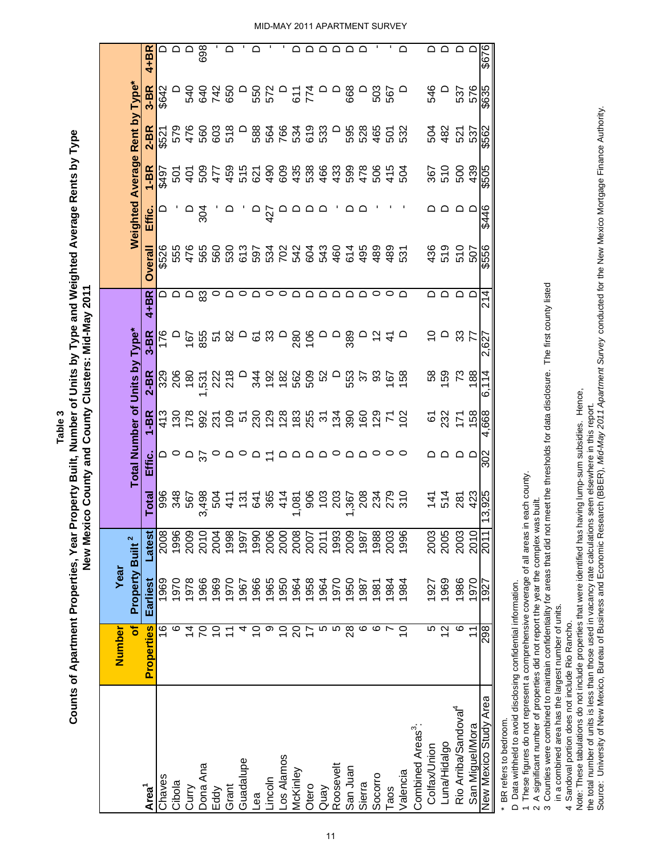|                                  | Number            | Year                        |        |                                   |                                                                                                                                                                                                                                                                                                                                                                                                                                                                                     |                                             |                                 |                                                                                                                                                                                                                                                                                                           |           |                     |                                |                       |                                        |                          |          |
|----------------------------------|-------------------|-----------------------------|--------|-----------------------------------|-------------------------------------------------------------------------------------------------------------------------------------------------------------------------------------------------------------------------------------------------------------------------------------------------------------------------------------------------------------------------------------------------------------------------------------------------------------------------------------|---------------------------------------------|---------------------------------|-----------------------------------------------------------------------------------------------------------------------------------------------------------------------------------------------------------------------------------------------------------------------------------------------------------|-----------|---------------------|--------------------------------|-----------------------|----------------------------------------|--------------------------|----------|
|                                  | ŏf                | Property Built <sup>2</sup> |        |                                   |                                                                                                                                                                                                                                                                                                                                                                                                                                                                                     |                                             | Total Number of Units by Type*  |                                                                                                                                                                                                                                                                                                           |           |                     | Weighted Average Rent by Type* |                       |                                        |                          |          |
| Area <sup>1</sup>                | <b>Properties</b> | Earliest                    | Latest | <b>Total</b>                      | Effic.                                                                                                                                                                                                                                                                                                                                                                                                                                                                              | $1-BR$                                      | 2-BR                            | $3-BR$                                                                                                                                                                                                                                                                                                    | $4+BR$    | <b>Overall</b>      | Effic.                         | $1 - BR$              | 2-BR                                   | $3-BR$                   | $4 + BR$ |
| Chaves                           | 16                | 1969                        | 2008   |                                   |                                                                                                                                                                                                                                                                                                                                                                                                                                                                                     |                                             |                                 | 176                                                                                                                                                                                                                                                                                                       |           | \$526               |                                | <b>267\$</b>          | \$521                                  | \$642                    |          |
| Cibola                           | ဖ                 | 1970                        | 1996   |                                   |                                                                                                                                                                                                                                                                                                                                                                                                                                                                                     |                                             | 32<br>20<br>20                  | $\Box$                                                                                                                                                                                                                                                                                                    |           | 555                 |                                |                       |                                        |                          |          |
| Cury                             | $\overline{4}$    | 1978                        | 2009   |                                   |                                                                                                                                                                                                                                                                                                                                                                                                                                                                                     |                                             |                                 |                                                                                                                                                                                                                                                                                                           |           |                     |                                | 5<br>9<br>2<br>2<br>2 |                                        |                          |          |
| Dona Ana                         | 20                | 1966                        | 2010   |                                   | $\approx$                                                                                                                                                                                                                                                                                                                                                                                                                                                                           |                                             |                                 |                                                                                                                                                                                                                                                                                                           |           |                     | 304                            | 509                   |                                        |                          | 698      |
| Eddy                             | $\overline{C}$    | 1969                        | 2004   | 987987<br>987989<br>98798         |                                                                                                                                                                                                                                                                                                                                                                                                                                                                                     | 3 3 8 9 3 5 9 5 9 9 9 9 9 9 9 5 9 9 9 0 7 9 | 531<br>222<br>218               | $\frac{56}{36}$ $\frac{26}{36}$ $\frac{26}{36}$ $\frac{26}{36}$ $\frac{26}{36}$ $\frac{26}{36}$ $\frac{26}{36}$ $\frac{26}{36}$ $\frac{26}{36}$ $\frac{26}{36}$ $\frac{26}{36}$ $\frac{26}{36}$ $\frac{26}{36}$ $\frac{26}{36}$ $\frac{26}{36}$ $\frac{26}{36}$ $\frac{26}{36}$ $\frac{26}{36}$ $\frac{2$ | മ മ മ ജ ര | $476$<br>565<br>560 |                                | 477                   | 579<br>580<br>576<br>579               | 242<br>242<br>242        |          |
| Grant                            | $\overline{1}$    | 1970                        | 1998   | 411                               |                                                                                                                                                                                                                                                                                                                                                                                                                                                                                     |                                             |                                 |                                                                                                                                                                                                                                                                                                           |           |                     |                                |                       | 518                                    |                          |          |
| Guadalupe                        | 4                 | 1967                        | 1997   |                                   | ≏ ¤ ¤                                                                                                                                                                                                                                                                                                                                                                                                                                                                               |                                             | $\overline{\phantom{0}}$        |                                                                                                                                                                                                                                                                                                           | $\circ$   |                     |                                | 459<br>515            |                                        |                          |          |
| Бəп                              | $\overline{C}$    | 1966                        | 1990   |                                   |                                                                                                                                                                                                                                                                                                                                                                                                                                                                                     |                                             |                                 |                                                                                                                                                                                                                                                                                                           | $\Omega$  |                     | $\frac{1}{4}$                  |                       |                                        | n<br>និង<br>ក            |          |
| Lincoln                          | თ                 | 1965                        | 2006   |                                   | Ξ                                                                                                                                                                                                                                                                                                                                                                                                                                                                                   |                                             |                                 |                                                                                                                                                                                                                                                                                                           | $\circ$   |                     |                                |                       |                                        |                          |          |
| -os Alamos                       | $\overline{C}$    | 1950                        | 2000   | $54840$<br>$2840$<br>$40$<br>$40$ |                                                                                                                                                                                                                                                                                                                                                                                                                                                                                     |                                             | 3022888                         |                                                                                                                                                                                                                                                                                                           | $\circ$   |                     |                                |                       |                                        |                          |          |
| McKinley                         | $\Omega$          | 1964                        | 2008   |                                   | $\begin{array}{c} \multicolumn{2}{c}{} \multicolumn{2}{c}{} \multicolumn{2}{c}{} \multicolumn{2}{c}{} \multicolumn{2}{c}{} \multicolumn{2}{c}{} \multicolumn{2}{c}{} \multicolumn{2}{c}{} \multicolumn{2}{c}{} \multicolumn{2}{c}{} \multicolumn{2}{c}{} \multicolumn{2}{c}{} \multicolumn{2}{c}{} \multicolumn{2}{c}{} \multicolumn{2}{c}{} \multicolumn{2}{c}{} \multicolumn{2}{c}{} \multicolumn{2}{c}{} \multicolumn{2}{c}{} \multicolumn{2}{c}{} \multicolumn{2}{c}{} \multic$ |                                             |                                 |                                                                                                                                                                                                                                                                                                           |           |                     | $\cap$ $\cap$ $\cap$           |                       |                                        | $-57$<br>$-75$           |          |
| Otero                            | $\overline{1}$    | 1958                        | 2007   |                                   |                                                                                                                                                                                                                                                                                                                                                                                                                                                                                     |                                             |                                 |                                                                                                                                                                                                                                                                                                           | ≏         |                     |                                |                       |                                        |                          |          |
| Quay                             | 5                 | 1964                        | 2011   |                                   |                                                                                                                                                                                                                                                                                                                                                                                                                                                                                     |                                             |                                 |                                                                                                                                                                                                                                                                                                           | $\Omega$  |                     |                                |                       |                                        |                          |          |
| Roosevelt                        | 5                 | 1970                        | 1993   |                                   |                                                                                                                                                                                                                                                                                                                                                                                                                                                                                     |                                             |                                 |                                                                                                                                                                                                                                                                                                           | $\Omega$  |                     |                                |                       |                                        |                          |          |
| San Juan                         | $\overline{28}$   | 1950                        | 2009   |                                   |                                                                                                                                                                                                                                                                                                                                                                                                                                                                                     |                                             | <b>០</b> ជួន នី ក៏ ឆ្ន          |                                                                                                                                                                                                                                                                                                           | ≏         |                     | ≏                              |                       |                                        |                          |          |
| Sierra                           | ဖ                 | 1987                        | 1987   |                                   |                                                                                                                                                                                                                                                                                                                                                                                                                                                                                     |                                             |                                 |                                                                                                                                                                                                                                                                                                           | $\Omega$  |                     |                                |                       |                                        |                          |          |
| Socorro                          | ဖ                 | 1981                        | 1988   |                                   |                                                                                                                                                                                                                                                                                                                                                                                                                                                                                     |                                             |                                 | $\frac{5}{4}$                                                                                                                                                                                                                                                                                             | $\circ$   |                     |                                |                       |                                        | ្គក្ដុ<br>បន្ថែ          |          |
| Taos                             | N                 | 1984                        | 2003   | 279<br>310                        |                                                                                                                                                                                                                                                                                                                                                                                                                                                                                     |                                             |                                 |                                                                                                                                                                                                                                                                                                           | $\circ$   | 489                 |                                | 506<br>415            | 9<br>9 2 9 9 0<br>9 9 9 9 9<br>9 9 9 9 |                          |          |
| Valencia                         | $\overline{C}$    | 1984                        | 1996   |                                   | $\circ$                                                                                                                                                                                                                                                                                                                                                                                                                                                                             |                                             |                                 | $\Omega$                                                                                                                                                                                                                                                                                                  | ≏         | 531                 |                                | 504                   |                                        |                          |          |
| Combined Areas <sup>3</sup> :    |                   |                             |        |                                   |                                                                                                                                                                                                                                                                                                                                                                                                                                                                                     |                                             |                                 |                                                                                                                                                                                                                                                                                                           |           |                     |                                |                       |                                        |                          |          |
| Colfax/Union                     | 5                 | 1927                        | 2003   | 141                               |                                                                                                                                                                                                                                                                                                                                                                                                                                                                                     |                                             |                                 | م ب                                                                                                                                                                                                                                                                                                       | മ മ       | 436<br>519          |                                |                       | 504<br>482                             | 546                      |          |
| Luna/Hidalgo                     | $\frac{2}{3}$     | 1969                        | 2005   | 514                               |                                                                                                                                                                                                                                                                                                                                                                                                                                                                                     | <b>67</b><br>232                            | 8<br>8<br>8<br>8<br>8<br>8<br>8 |                                                                                                                                                                                                                                                                                                           |           |                     |                                | 367<br>510            |                                        | $\overline{\phantom{0}}$ |          |
| Rio Arriba/Sandoval <sup>4</sup> | ဖ                 | 1986                        | 2003   | 281                               | $\circ$                                                                                                                                                                                                                                                                                                                                                                                                                                                                             | 778                                         |                                 | 33                                                                                                                                                                                                                                                                                                        | $\Omega$  | 510                 | $\circ$                        | 500                   | 521<br>537                             | 537                      | ם ם      |
| San Miguel/Mora                  | $\overline{1}$    | 1970                        | 2010   | 423                               |                                                                                                                                                                                                                                                                                                                                                                                                                                                                                     |                                             |                                 | 77                                                                                                                                                                                                                                                                                                        |           | 507                 |                                | 439                   |                                        | 576                      |          |
| New Mexico Study Area            | 298               | 1927                        | 2011   | 13,925                            | 302                                                                                                                                                                                                                                                                                                                                                                                                                                                                                 | 4,668                                       | 6,114                           | 2,627                                                                                                                                                                                                                                                                                                     | 214       | \$556               | \$446                          | \$505                 | \$562                                  | \$635                    | 929\$    |

D Data withheld to avoid disclosing confidential information. D Data withheld to avoid disclosing confidential information. BR refers to bedroom. \* BR refers to bedroom.

1 These figures do not represent a comprehensive coverage of all areas in each county. 1 These figures do not represent a comprehensive coverage of all areas in each county.

2 A significant number of properties did not report the year the complex was built. 2 A significant number of properties did not report the year the complex was built.

3 Counties were combined to maintain confidentiality for areas that did not meet the thresholds for data disclosure. The first county listed 3 Counties were combined to maintain confidentiality for areas that did not meet the thresholds for data disclosure. The first county listed

in a combined area has the largest number of units. in a combined area has the largest number of units.

4 Sandoval portion does not include Rio Rancho. 4 Sandoval portion does not include Rio Rancho.

Note: These tabulations do not include properties that were identified has having lump-sum subsidies. Hence, Note: These tabulations do not include properties that were identified has having lump-sum subsidies. Hence,

the total number of units is less than those used in vacancy rate calculations seen elsewhere in this report.

the total number of units is less than those used in vacancy rate calculations seen elsewhere in this report.<br>Source: University of New Mexico, Bureau of Business and Economic Research (BBER), *Mid-May 2011 Apartment Surv* Source: University of New Mexico, Bureau of Business and Economic Research (BBER), *Mid-May 2011 Apartment Survey* conducted for the New Mexico Mortgage Finance Authority.

MID-MAY 2011 APARTMENT SURVEY

**Counts of Apartment Properties, Year Property Built, Number of Units by Type and Weighted Average Rents by Type New Mexico County and County Clusters: Mid-May 2011**

New Mexico County and County Clusters: Mid-May 2011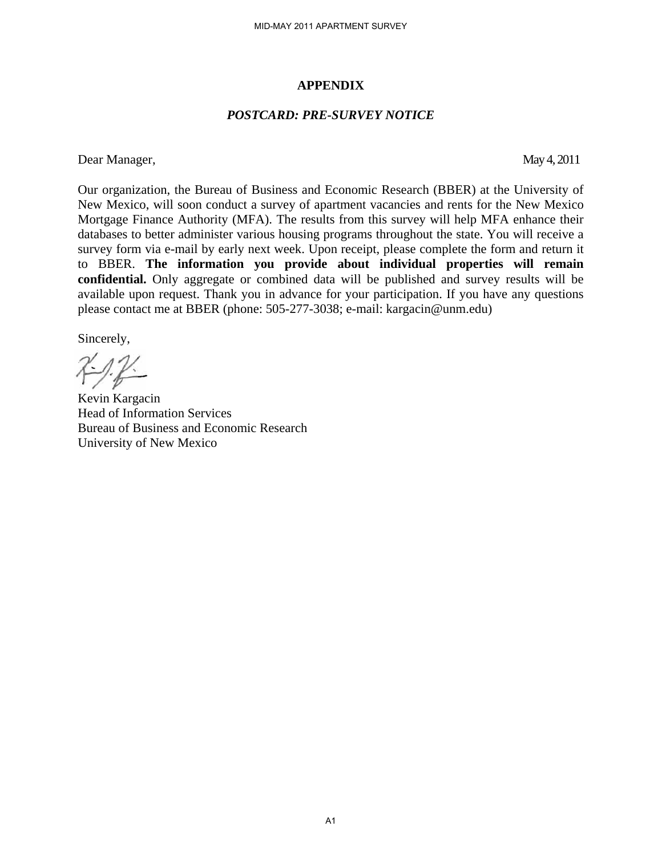#### **APPENDIX**

#### *POSTCARD: PRE-SURVEY NOTICE*

Dear Manager, May 4, 2011

Our organization, the Bureau of Business and Economic Research (BBER) at the University of New Mexico, will soon conduct a survey of apartment vacancies and rents for the New Mexico Mortgage Finance Authority (MFA). The results from this survey will help MFA enhance their databases to better administer various housing programs throughout the state. You will receive a survey form via e-mail by early next week. Upon receipt, please complete the form and return it to BBER. **The information you provide about individual properties will remain confidential.** Only aggregate or combined data will be published and survey results will be available upon request. Thank you in advance for your participation. If you have any questions please contact me at BBER (phone: 505-277-3038; e-mail: kargacin@unm.edu) MID-MAY 2011 APARTMENT SURVEY<br> **APPENDIX**<br> **CARD: PRE-SURVEY NOT**<br>
Business and Economic Rese<br>
survey of apartment vacance<br>
(A). The results from this survey of apartment vacance<br>
ext week. Upon receipt, plead<br>
you provide

Sincerely,

Kevin Kargacin Head of Information Services Bureau of Business and Economic Research University of New Mexico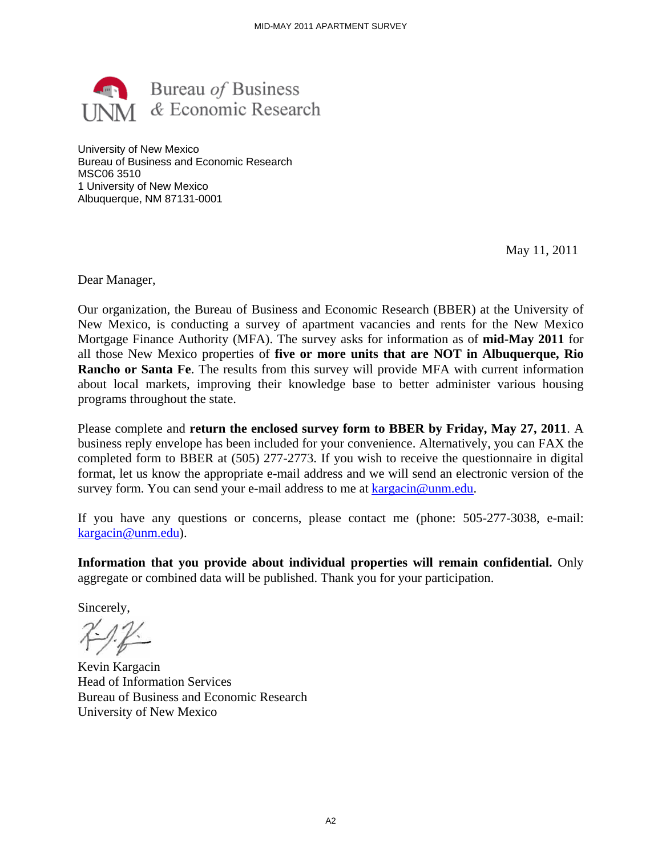

University of New Mexico Bureau of Business and Economic Research MSC06 3510 1 University of New Mexico Albuquerque, NM 87131-0001

May 11, 2011

Dear Manager,

Our organization, the Bureau of Business and Economic Research (BBER) at the University of New Mexico, is conducting a survey of apartment vacancies and rents for the New Mexico Mortgage Finance Authority (MFA). The survey asks for information as of **mid-May 2011** for all those New Mexico properties of **five or more units that are NOT in Albuquerque, Rio Rancho or Santa Fe**. The results from this survey will provide MFA with current information about local markets, improving their knowledge base to better administer various housing programs throughout the state.

Please complete and **return the enclosed survey form to BBER by Friday, May 27, 2011**. A business reply envelope has been included for your convenience. Alternatively, you can FAX the completed form to BBER at (505) 277-2773. If you wish to receive the questionnaire in digital format, let us know the appropriate e-mail address and we will send an electronic version of the survey form. You can send your e-mail address to me at kargacin@unm.edu.

If you have any questions or concerns, please contact me (phone: 505-277-3038, e-mail: kargacin@unm.edu).

**Information that you provide about individual properties will remain confidential.** Only aggregate or combined data will be published. Thank you for your participation.

Sincerely,

 $7 - 12$ 

Kevin Kargacin Head of Information Services Bureau of Business and Economic Research University of New Mexico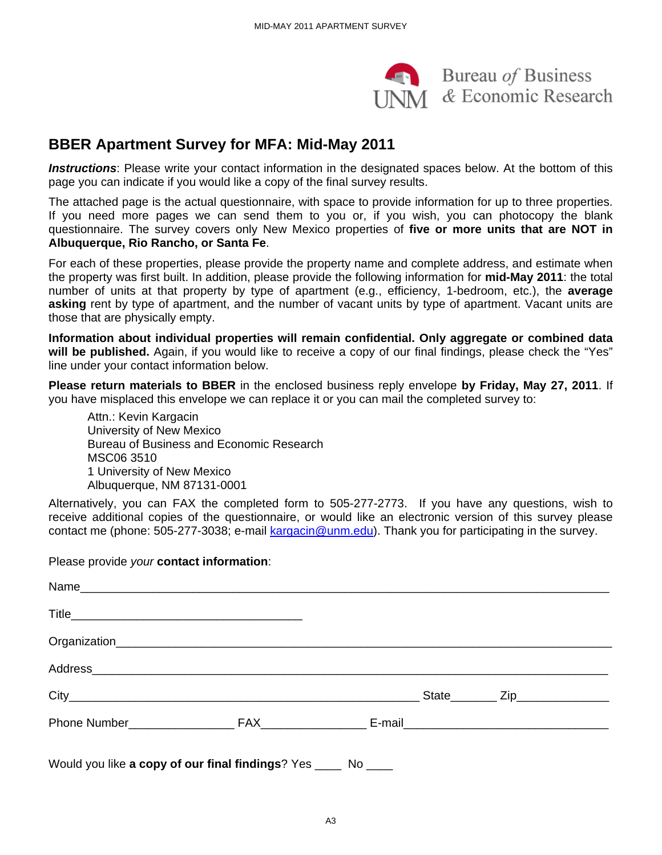

Bureau of Business  $\overline{\text{MA}}$  & Economic Research

## **BBER Apartment Survey for MFA: Mid-May 2011**

*Instructions*: Please write your contact information in the designated spaces below. At the bottom of this page you can indicate if you would like a copy of the final survey results.

The attached page is the actual questionnaire, with space to provide information for up to three properties. If you need more pages we can send them to you or, if you wish, you can photocopy the blank questionnaire. The survey covers only New Mexico properties of **five or more units that are NOT in Albuquerque, Rio Rancho, or Santa Fe**.

For each of these properties, please provide the property name and complete address, and estimate when the property was first built. In addition, please provide the following information for **mid-May 2011**: the total number of units at that property by type of apartment (e.g., efficiency, 1-bedroom, etc.), the **average asking** rent by type of apartment, and the number of vacant units by type of apartment. Vacant units are those that are physically empty.

**Information about individual properties will remain confidential. Only aggregate or combined data will be published.** Again, if you would like to receive a copy of our final findings, please check the "Yes" line under your contact information below.

**Please return materials to BBER** in the enclosed business reply envelope **by Friday, May 27, 2011**. If you have misplaced this envelope we can replace it or you can mail the completed survey to:

Attn.: Kevin Kargacin University of New Mexico Bureau of Business and Economic Research MSC06 3510 1 University of New Mexico Albuquerque, NM 87131-0001

Alternatively, you can FAX the completed form to 505-277-2773. If you have any questions, wish to receive additional copies of the questionnaire, or would like an electronic version of this survey please contact me (phone: 505-277-3038; e-mail kargacin@unm.edu). Thank you for participating in the survey.

Please provide *your* **contact information**:

| Would you like a copy of our final findings? Yes _____ No ____ |  |  |
|----------------------------------------------------------------|--|--|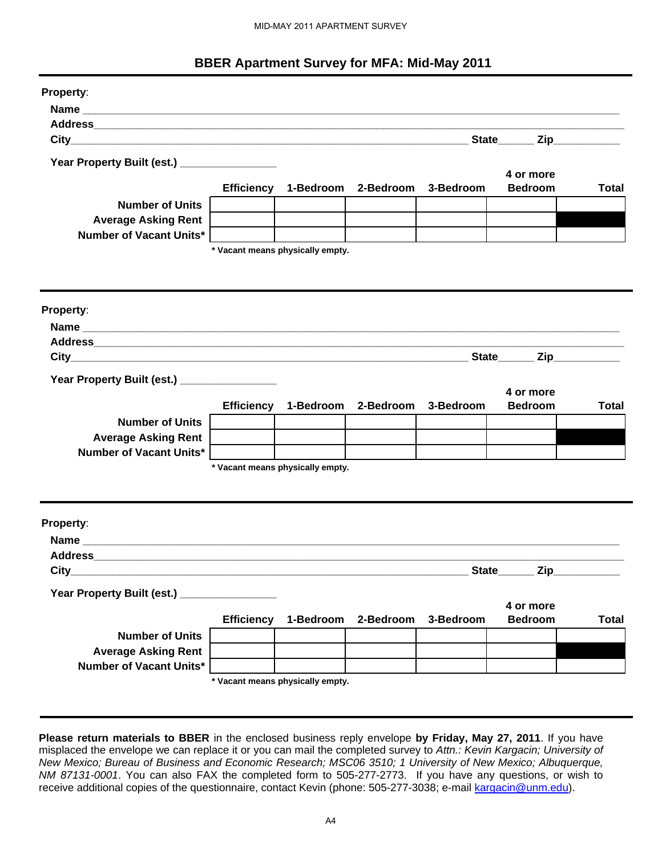#### **BBER Apartment Survey for MFA: Mid-May 2011**

| <b>Property:</b><br>Year Property Built (est.) _________________<br><b>Number of Units</b><br><b>Average Asking Rent</b><br><b>Number of Vacant Units*</b>                                                                 |                   | * Vacant means physically empty. | Efficiency 1-Bedroom 2-Bedroom 3-Bedroom |           | State Zip<br>4 or more<br><b>Bedroom</b> | <b>Total</b> |
|----------------------------------------------------------------------------------------------------------------------------------------------------------------------------------------------------------------------------|-------------------|----------------------------------|------------------------------------------|-----------|------------------------------------------|--------------|
|                                                                                                                                                                                                                            |                   |                                  |                                          |           |                                          |              |
|                                                                                                                                                                                                                            |                   |                                  |                                          |           |                                          |              |
|                                                                                                                                                                                                                            |                   |                                  |                                          |           |                                          |              |
|                                                                                                                                                                                                                            |                   |                                  |                                          |           |                                          |              |
|                                                                                                                                                                                                                            |                   |                                  |                                          |           |                                          |              |
|                                                                                                                                                                                                                            |                   |                                  |                                          |           |                                          |              |
|                                                                                                                                                                                                                            |                   |                                  |                                          |           |                                          |              |
|                                                                                                                                                                                                                            |                   |                                  |                                          |           |                                          |              |
|                                                                                                                                                                                                                            |                   |                                  |                                          |           |                                          |              |
|                                                                                                                                                                                                                            |                   |                                  |                                          |           |                                          |              |
|                                                                                                                                                                                                                            |                   |                                  |                                          |           |                                          |              |
|                                                                                                                                                                                                                            |                   |                                  |                                          |           |                                          |              |
| Property:                                                                                                                                                                                                                  |                   |                                  |                                          |           |                                          |              |
|                                                                                                                                                                                                                            |                   |                                  |                                          |           |                                          |              |
| Address and the contract of the contract of the contract of the contract of the contract of the contract of the                                                                                                            |                   |                                  |                                          |           |                                          |              |
|                                                                                                                                                                                                                            |                   |                                  |                                          |           |                                          |              |
| Year Property Built (est.) _________________                                                                                                                                                                               |                   |                                  |                                          |           |                                          |              |
|                                                                                                                                                                                                                            | <b>Efficiency</b> | 1-Bedroom                        | 2-Bedroom                                | 3-Bedroom | 4 or more<br><b>Bedroom</b>              | Total        |
| <b>Number of Units</b>                                                                                                                                                                                                     |                   |                                  |                                          |           |                                          |              |
| <b>Average Asking Rent</b>                                                                                                                                                                                                 |                   |                                  |                                          |           |                                          |              |
| <b>Number of Vacant Units*</b>                                                                                                                                                                                             |                   |                                  |                                          |           |                                          |              |
|                                                                                                                                                                                                                            |                   | * Vacant means physically empty. |                                          |           |                                          |              |
|                                                                                                                                                                                                                            |                   |                                  |                                          |           |                                          |              |
|                                                                                                                                                                                                                            |                   |                                  |                                          |           |                                          |              |
| <b>Property:</b>                                                                                                                                                                                                           |                   |                                  |                                          |           |                                          |              |
|                                                                                                                                                                                                                            |                   |                                  |                                          |           |                                          |              |
| Address and the contract of the contract of the contract of the contract of the contract of the contract of the                                                                                                            |                   |                                  |                                          |           |                                          |              |
|                                                                                                                                                                                                                            |                   |                                  |                                          |           | State Zip                                |              |
| Year Property Built (est.) _________________                                                                                                                                                                               |                   |                                  |                                          |           |                                          |              |
|                                                                                                                                                                                                                            |                   |                                  |                                          |           | 4 or more                                |              |
|                                                                                                                                                                                                                            |                   | Efficiency 1-Bedroom             | 2-Bedroom                                | 3-Bedroom | <b>Bedroom</b>                           | <b>Total</b> |
| <b>Number of Units</b><br><b>Average Asking Rent</b>                                                                                                                                                                       |                   |                                  |                                          |           |                                          |              |
| <b>Number of Vacant Units*</b>                                                                                                                                                                                             |                   |                                  |                                          |           |                                          |              |
|                                                                                                                                                                                                                            |                   | * Vacant means physically empty. |                                          |           |                                          |              |
|                                                                                                                                                                                                                            |                   |                                  |                                          |           |                                          |              |
|                                                                                                                                                                                                                            |                   |                                  |                                          |           |                                          |              |
| Please return materials to BBER in the enclosed business reply envelope by Friday, May 27, 2011. If you have                                                                                                               |                   |                                  |                                          |           |                                          |              |
| misplaced the envelope we can replace it or you can mail the completed survey to Attn.: Kevin Kargacin; University of                                                                                                      |                   |                                  |                                          |           |                                          |              |
| New Mexico; Bureau of Business and Economic Research; MSC06 3510; 1 University of New Mexico; Albuquerque,                                                                                                                 |                   |                                  |                                          |           |                                          |              |
| NM 87131-0001. You can also FAX the completed form to 505-277-2773. If you have any questions, or wish to<br>receive additional copies of the questionnaire, contact Kevin (phone: 505-277-3038; e-mail kargacin@unm.edu). |                   |                                  |                                          |           |                                          |              |